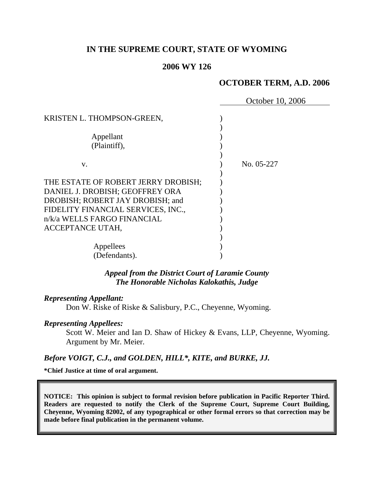# **IN THE SUPREME COURT, STATE OF WYOMING**

#### **2006 WY 126**

# **OCTOBER TERM, A.D. 2006**

|                                                                                                                                                                                                     | October 10, 2006 |
|-----------------------------------------------------------------------------------------------------------------------------------------------------------------------------------------------------|------------------|
| KRISTEN L. THOMPSON-GREEN,<br>Appellant<br>(Plaintiff),                                                                                                                                             |                  |
| $V_{\cdot}$                                                                                                                                                                                         | No. 05-227       |
| THE ESTATE OF ROBERT JERRY DROBISH;<br>DANIEL J. DROBISH; GEOFFREY ORA<br>DROBISH; ROBERT JAY DROBISH; and<br>FIDELITY FINANCIAL SERVICES, INC.,<br>n/k/a WELLS FARGO FINANCIAL<br>ACCEPTANCE UTAH, |                  |
| Appellees<br>(Defendants).                                                                                                                                                                          |                  |

*Appeal from the District Court of Laramie County The Honorable Nicholas Kalokathis, Judge* 

#### *Representing Appellant:*

Don W. Riske of Riske & Salisbury, P.C., Cheyenne, Wyoming.

# *Representing Appellees:*

Scott W. Meier and Ian D. Shaw of Hickey & Evans, LLP, Cheyenne, Wyoming. Argument by Mr. Meier.

#### *Before VOIGT, C.J., and GOLDEN, HILL\*, KITE, and BURKE, JJ.*

**\*Chief Justice at time of oral argument.** 

**NOTICE: This opinion is subject to formal revision before publication in Pacific Reporter Third. Readers are requested to notify the Clerk of the Supreme Court, Supreme Court Building, Cheyenne, Wyoming 82002, of any typographical or other formal errors so that correction may be made before final publication in the permanent volume.**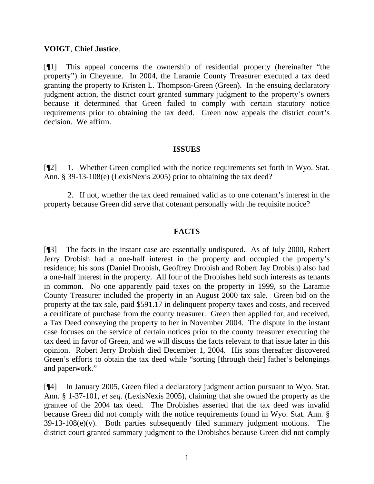### **VOIGT**, **Chief Justice**.

[¶1] This appeal concerns the ownership of residential property (hereinafter "the property") in Cheyenne. In 2004, the Laramie County Treasurer executed a tax deed granting the property to Kristen L. Thompson-Green (Green). In the ensuing declaratory judgment action, the district court granted summary judgment to the property's owners because it determined that Green failed to comply with certain statutory notice requirements prior to obtaining the tax deed. Green now appeals the district court's decision. We affirm.

### **ISSUES**

[¶2] 1. Whether Green complied with the notice requirements set forth in Wyo. Stat. Ann. § 39-13-108(e) (LexisNexis 2005) prior to obtaining the tax deed?

2. If not, whether the tax deed remained valid as to one cotenant's interest in the property because Green did serve that cotenant personally with the requisite notice?

# **FACTS**

[¶3] The facts in the instant case are essentially undisputed. As of July 2000, Robert Jerry Drobish had a one-half interest in the property and occupied the property's residence; his sons (Daniel Drobish, Geoffrey Drobish and Robert Jay Drobish) also had a one-half interest in the property. All four of the Drobishes held such interests as tenants in common. No one apparently paid taxes on the property in 1999, so the Laramie County Treasurer included the property in an August 2000 tax sale. Green bid on the property at the tax sale, paid \$591.17 in delinquent property taxes and costs, and received a certificate of purchase from the county treasurer. Green then applied for, and received, a Tax Deed conveying the property to her in November 2004. The dispute in the instant case focuses on the service of certain notices prior to the county treasurer executing the tax deed in favor of Green, and we will discuss the facts relevant to that issue later in this opinion. Robert Jerry Drobish died December 1, 2004. His sons thereafter discovered Green's efforts to obtain the tax deed while "sorting [through their] father's belongings and paperwork."

[¶4] In January 2005, Green filed a declaratory judgment action pursuant to Wyo. Stat. Ann. § 1-37-101, *et seq.* (LexisNexis 2005), claiming that she owned the property as the grantee of the 2004 tax deed. The Drobishes asserted that the tax deed was invalid because Green did not comply with the notice requirements found in Wyo. Stat. Ann. §  $39-13-108(e)(v)$ . Both parties subsequently filed summary judgment motions. The district court granted summary judgment to the Drobishes because Green did not comply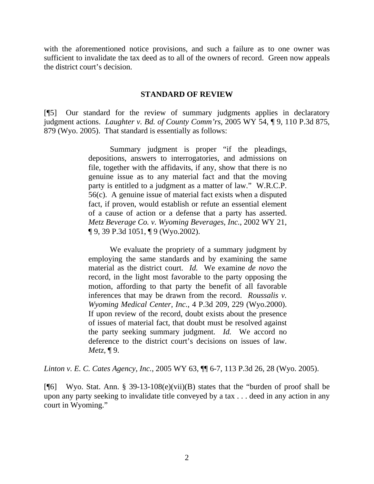with the aforementioned notice provisions, and such a failure as to one owner was sufficient to invalidate the tax deed as to all of the owners of record. Green now appeals the district court's decision.

### **STANDARD OF REVIEW**

[¶5] Our standard for the review of summary judgments applies in declaratory judgment actions. *Laughter v. Bd. of County Comm'rs*, 2005 WY 54, ¶ 9, 110 P.3d 875, 879 (Wyo. 2005). That standard is essentially as follows:

> Summary judgment is proper "if the pleadings, depositions, answers to interrogatories, and admissions on file, together with the affidavits, if any, show that there is no genuine issue as to any material fact and that the moving party is entitled to a judgment as a matter of law." W.R.C.P. 56(c). A genuine issue of material fact exists when a disputed fact, if proven, would establish or refute an essential element of a cause of action or a defense that a party has asserted. *Metz Beverage Co. v. Wyoming Beverages, Inc.*, 2002 WY 21, ¶ 9, 39 P.3d 1051, ¶ 9 (Wyo.2002).

> We evaluate the propriety of a summary judgment by employing the same standards and by examining the same material as the district court. *Id.* We examine *de novo* the record, in the light most favorable to the party opposing the motion, affording to that party the benefit of all favorable inferences that may be drawn from the record. *Roussalis v. Wyoming Medical Center, Inc.*, 4 P.3d 209, 229 (Wyo.2000). If upon review of the record, doubt exists about the presence of issues of material fact, that doubt must be resolved against the party seeking summary judgment. *Id.* We accord no deference to the district court's decisions on issues of law. *Metz*, ¶ 9.

*Linton v. E. C. Cates Agency, Inc.*, 2005 WY 63, ¶¶ 6-7, 113 P.3d 26, 28 (Wyo. 2005).

[ $\degree$ [6] Wyo. Stat. Ann. § 39-13-108(e)(vii)(B) states that the "burden of proof shall be upon any party seeking to invalidate title conveyed by a tax . . . deed in any action in any court in Wyoming."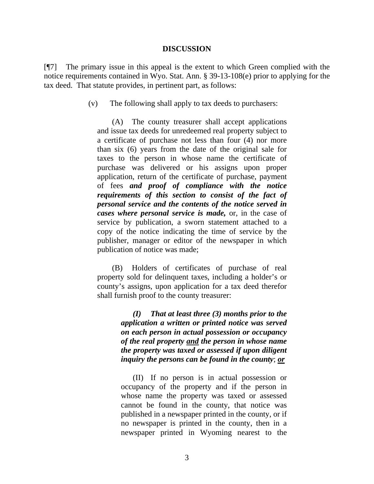#### **DISCUSSION**

[¶7] The primary issue in this appeal is the extent to which Green complied with the notice requirements contained in Wyo. Stat. Ann. § 39-13-108(e) prior to applying for the tax deed. That statute provides, in pertinent part, as follows:

(v) The following shall apply to tax deeds to purchasers:

(A) The county treasurer shall accept applications and issue tax deeds for unredeemed real property subject to a certificate of purchase not less than four (4) nor more than six (6) years from the date of the original sale for taxes to the person in whose name the certificate of purchase was delivered or his assigns upon proper application, return of the certificate of purchase, payment of fees *and proof of compliance with the notice requirements of this section to consist of the fact of personal service and the contents of the notice served in cases where personal service is made,* or, in the case of service by publication, a sworn statement attached to a copy of the notice indicating the time of service by the publisher, manager or editor of the newspaper in which publication of notice was made;

(B) Holders of certificates of purchase of real property sold for delinquent taxes, including a holder's or county's assigns, upon application for a tax deed therefor shall furnish proof to the county treasurer:

> *(I) That at least three (3) months prior to the application a written or printed notice was served on each person in actual possession or occupancy of the real property and the person in whose name the property was taxed or assessed if upon diligent inquiry the persons can be found in the county*; *or*

> (II) If no person is in actual possession or occupancy of the property and if the person in whose name the property was taxed or assessed cannot be found in the county, that notice was published in a newspaper printed in the county, or if no newspaper is printed in the county, then in a newspaper printed in Wyoming nearest to the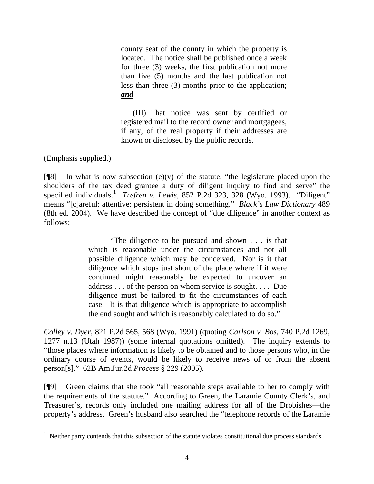county seat of the county in which the property is located. The notice shall be published once a week for three (3) weeks, the first publication not more than five (5) months and the last publication not less than three (3) months prior to the application; *and*

(III) That notice was sent by certified or registered mail to the record owner and mortgagees, if any, of the real property if their addresses are known or disclosed by the public records.

(Emphasis supplied.)

 $\overline{a}$ 

 $[$ [<sup>8]</sup> In what is now subsection (e)(v) of the statute, "the legislature placed upon the shoulders of the tax deed grantee a duty of diligent inquiry to find and serve" the specified individuals.<sup>[1](#page-4-0)</sup> *Trefren v. Lewis*, 852 P.2d 323, 328 (Wyo. 1993). "Diligent" means "[c]areful; attentive; persistent in doing something." *Black's Law Dictionary* 489 (8th ed. 2004). We have described the concept of "due diligence" in another context as follows:

> "The diligence to be pursued and shown . . . is that which is reasonable under the circumstances and not all possible diligence which may be conceived. Nor is it that diligence which stops just short of the place where if it were continued might reasonably be expected to uncover an address . . . of the person on whom service is sought. . . . Due diligence must be tailored to fit the circumstances of each case. It is that diligence which is appropriate to accomplish the end sought and which is reasonably calculated to do so."

*Colley v. Dyer*, 821 P.2d 565, 568 (Wyo. 1991) (quoting *Carlson v. Bos*, 740 P.2d 1269, 1277 n.13 (Utah 1987)) (some internal quotations omitted). The inquiry extends to "those places where information is likely to be obtained and to those persons who, in the ordinary course of events, would be likely to receive news of or from the absent person[s]." 62B Am.Jur.2d *Process* § 229 (2005).

[¶9] Green claims that she took "all reasonable steps available to her to comply with the requirements of the statute." According to Green, the Laramie County Clerk's, and Treasurer's, records only included one mailing address for all of the Drobishes—the property's address. Green's husband also searched the "telephone records of the Laramie

<span id="page-4-0"></span><sup>&</sup>lt;sup>1</sup> Neither party contends that this subsection of the statute violates constitutional due process standards.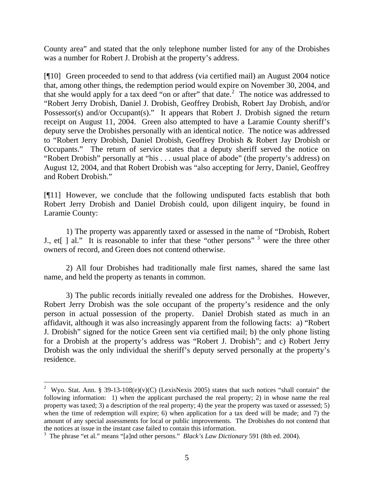County area" and stated that the only telephone number listed for any of the Drobishes was a number for Robert J. Drobish at the property's address.

[¶10] Green proceeded to send to that address (via certified mail) an August 2004 notice that, among other things, the redemption period would expire on November 30, 2004, and that she would apply for a tax deed "on or after" that date.<sup>[2](#page-5-0)</sup> The notice was addressed to "Robert Jerry Drobish, Daniel J. Drobish, Geoffrey Drobish, Robert Jay Drobish, and/or Possessor(s) and/or Occupant(s)." It appears that Robert J. Drobish signed the return receipt on August 11, 2004. Green also attempted to have a Laramie County sheriff's deputy serve the Drobishes personally with an identical notice. The notice was addressed to "Robert Jerry Drobish, Daniel Drobish, Geoffrey Drobish & Robert Jay Drobish or Occupants." The return of service states that a deputy sheriff served the notice on "Robert Drobish" personally at "his . . . usual place of abode" (the property's address) on August 12, 2004, and that Robert Drobish was "also accepting for Jerry, Daniel, Geoffrey and Robert Drobish."

[¶11] However, we conclude that the following undisputed facts establish that both Robert Jerry Drobish and Daniel Drobish could, upon diligent inquiry, be found in Laramie County:

1) The property was apparently taxed or assessed in the name of "Drobish, Robert J., et[ ] al." It is reasonable to infer that these "other persons"  $3$  were the three other owners of record, and Green does not contend otherwise.

2) All four Drobishes had traditionally male first names, shared the same last name, and held the property as tenants in common.

3) The public records initially revealed one address for the Drobishes. However, Robert Jerry Drobish was the sole occupant of the property's residence and the only person in actual possession of the property. Daniel Drobish stated as much in an affidavit, although it was also increasingly apparent from the following facts: a) "Robert J. Drobish" signed for the notice Green sent via certified mail; b) the only phone listing for a Drobish at the property's address was "Robert J. Drobish"; and c) Robert Jerry Drobish was the only individual the sheriff's deputy served personally at the property's residence.

 $\overline{a}$ 

<span id="page-5-0"></span><sup>&</sup>lt;sup>2</sup> Wyo. Stat. Ann. § 39-13-108(e)(v)(C) (LexisNexis 2005) states that such notices "shall contain" the following information: 1) when the applicant purchased the real property; 2) in whose name the real property was taxed; 3) a description of the real property; 4) the year the property was taxed or assessed; 5) when the time of redemption will expire; 6) when application for a tax deed will be made; and 7) the amount of any special assessments for local or public improvements. The Drobishes do not contend that the notices at issue in the instant case failed to contain this information.

<span id="page-5-1"></span><sup>&</sup>lt;sup>3</sup> The phrase "et al." means "[a]nd other persons." *Black's Law Dictionary* 591 (8th ed. 2004).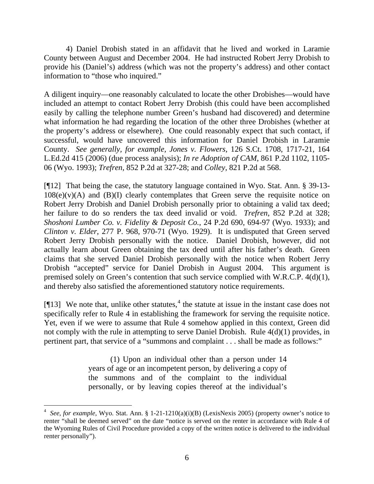4) Daniel Drobish stated in an affidavit that he lived and worked in Laramie County between August and December 2004. He had instructed Robert Jerry Drobish to provide his (Daniel's) address (which was not the property's address) and other contact information to "those who inquired."

A diligent inquiry—one reasonably calculated to locate the other Drobishes—would have included an attempt to contact Robert Jerry Drobish (this could have been accomplished easily by calling the telephone number Green's husband had discovered) and determine what information he had regarding the location of the other three Drobishes (whether at the property's address or elsewhere). One could reasonably expect that such contact, if successful, would have uncovered this information for Daniel Drobish in Laramie County. *See generally, for example, Jones v. Flowers,* 126 S.Ct. 1708, 1717-21, 164 L.Ed.2d 415 (2006) (due process analysis); *In re Adoption of CAM*, 861 P.2d 1102, 1105- 06 (Wyo. 1993); *Trefren*, 852 P.2d at 327-28; and *Colley*, 821 P.2d at 568.

[¶12] That being the case, the statutory language contained in Wyo. Stat. Ann. § 39-13-  $108(e)(v)(A)$  and  $(B)(I)$  clearly contemplates that Green serve the requisite notice on Robert Jerry Drobish and Daniel Drobish personally prior to obtaining a valid tax deed; her failure to do so renders the tax deed invalid or void. *Trefren*, 852 P.2d at 328; *Shoshoni Lumber Co. v. Fidelity & Deposit Co.*, 24 P.2d 690, 694-97 (Wyo. 1933); and *Clinton v. Elder*, 277 P. 968, 970-71 (Wyo. 1929). It is undisputed that Green served Robert Jerry Drobish personally with the notice. Daniel Drobish, however, did not actually learn about Green obtaining the tax deed until after his father's death. Green claims that she served Daniel Drobish personally with the notice when Robert Jerry Drobish "accepted" service for Daniel Drobish in August 2004. This argument is premised solely on Green's contention that such service complied with W.R.C.P. 4(d)(1), and thereby also satisfied the aforementioned statutory notice requirements.

[ $[13]$  We note that, unlike other statutes,<sup>[4](#page-6-0)</sup> the statute at issue in the instant case does not specifically refer to Rule 4 in establishing the framework for serving the requisite notice. Yet, even if we were to assume that Rule 4 somehow applied in this context, Green did not comply with the rule in attempting to serve Daniel Drobish. Rule 4(d)(1) provides, in pertinent part, that service of a "summons and complaint . . . shall be made as follows:"

> (1) Upon an individual other than a person under 14 years of age or an incompetent person, by delivering a copy of the summons and of the complaint to the individual personally, or by leaving copies thereof at the individual's

 $\overline{a}$ 

<span id="page-6-0"></span><sup>&</sup>lt;sup>4</sup> See, for example, Wyo. Stat. Ann. § 1-21-1210(a)(i)(B) (LexisNexis 2005) (property owner's notice to renter "shall be deemed served" on the date "notice is served on the renter in accordance with Rule 4 of the Wyoming Rules of Civil Procedure provided a copy of the written notice is delivered to the individual renter personally").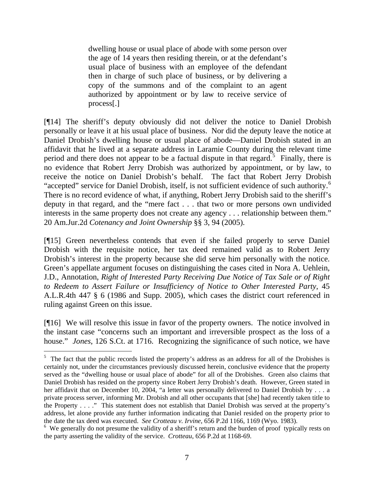dwelling house or usual place of abode with some person over the age of 14 years then residing therein, or at the defendant's usual place of business with an employee of the defendant then in charge of such place of business, or by delivering a copy of the summons and of the complaint to an agent authorized by appointment or by law to receive service of process[.]

[¶14] The sheriff's deputy obviously did not deliver the notice to Daniel Drobish personally or leave it at his usual place of business. Nor did the deputy leave the notice at Daniel Drobish's dwelling house or usual place of abode—Daniel Drobish stated in an affidavit that he lived at a separate address in Laramie County during the relevant time period and there does not appear to be a factual dispute in that regard.<sup>[5](#page-7-0)</sup> Finally, there is no evidence that Robert Jerry Drobish was authorized by appointment, or by law, to receive the notice on Daniel Drobish's behalf. The fact that Robert Jerry Drobish "accepted" service for Daniel Drobish, itself, is not sufficient evidence of such authority.<sup>[6](#page-7-1)</sup> There is no record evidence of what, if anything, Robert Jerry Drobish said to the sheriff's deputy in that regard, and the "mere fact . . . that two or more persons own undivided interests in the same property does not create any agency . . . relationship between them." 20 Am.Jur.2d *Cotenancy and Joint Ownership* §§ 3, 94 (2005).

[¶15] Green nevertheless contends that even if she failed properly to serve Daniel Drobish with the requisite notice, her tax deed remained valid as to Robert Jerry Drobish's interest in the property because she did serve him personally with the notice. Green's appellate argument focuses on distinguishing the cases cited in Nora A. Uehlein, J.D., Annotation, *Right of Interested Party Receiving Due Notice of Tax Sale or of Right to Redeem to Assert Failure or Insufficiency of Notice to Other Interested Party*, 45 A.L.R.4th 447 § 6 (1986 and Supp. 2005), which cases the district court referenced in ruling against Green on this issue.

[¶16] We will resolve this issue in favor of the property owners. The notice involved in the instant case "concerns such an important and irreversible prospect as the loss of a house." *Jones*, 126 S.Ct. at 1716. Recognizing the significance of such notice, we have

<span id="page-7-0"></span><sup>&</sup>lt;sup>5</sup> The fact that the public records listed the property's address as an address for all of the Drobishes is certainly not, under the circumstances previously discussed herein, conclusive evidence that the property served as the "dwelling house or usual place of abode" for all of the Drobishes. Green also claims that Daniel Drobish has resided on the property since Robert Jerry Drobish's death. However, Green stated in her affidavit that on December 10, 2004, "a letter was personally delivered to Daniel Drobish by . . . a private process server, informing Mr. Drobish and all other occupants that [she] had recently taken title to the Property . . . ." This statement does not establish that Daniel Drobish was served at the property's address, let alone provide any further information indicating that Daniel resided on the property prior to the date the tax deed was executed. *See Crotteau v. Irvine*, 656 P.2d 1166, 1169 (Wyo. 1983).

<span id="page-7-1"></span><sup>&</sup>lt;sup>6</sup> We generally do not presume the validity of a sheriff's return and the burden of proof typically rests on the party asserting the validity of the service. *Crotteau*, 656 P.2d at 1168-69.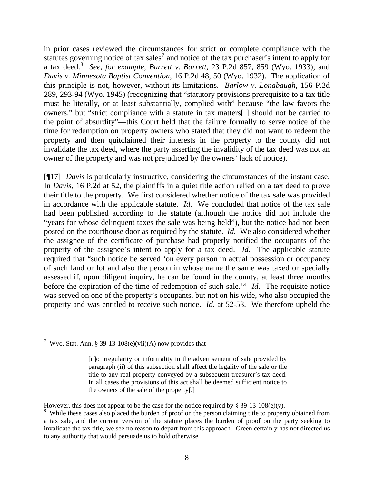in prior cases reviewed the circumstances for strict or complete compliance with the statutes governing notice of tax sales<sup>[7](#page-8-0)</sup> and notice of the tax purchaser's intent to apply for a tax deed.[8](#page-8-1) *See, for example, Barrett v. Barrett*, 23 P.2d 857, 859 (Wyo. 1933); and *Davis v. Minnesota Baptist Convention*, 16 P.2d 48, 50 (Wyo. 1932). The application of this principle is not, however, without its limitations. *Barlow v. Lonabaugh*, 156 P.2d 289, 293-94 (Wyo. 1945) (recognizing that "statutory provisions prerequisite to a tax title must be literally, or at least substantially, complied with" because "the law favors the owners," but "strict compliance with a statute in tax matters[ ] should not be carried to the point of absurdity"—this Court held that the failure formally to serve notice of the time for redemption on property owners who stated that they did not want to redeem the property and then quitclaimed their interests in the property to the county did not invalidate the tax deed, where the party asserting the invalidity of the tax deed was not an owner of the property and was not prejudiced by the owners' lack of notice).

[¶17] *Davis* is particularly instructive, considering the circumstances of the instant case. In *Davis*, 16 P.2d at 52, the plaintiffs in a quiet title action relied on a tax deed to prove their title to the property. We first considered whether notice of the tax sale was provided in accordance with the applicable statute. *Id.* We concluded that notice of the tax sale had been published according to the statute (although the notice did not include the "years for whose delinquent taxes the sale was being held"), but the notice had not been posted on the courthouse door as required by the statute. *Id.* We also considered whether the assignee of the certificate of purchase had properly notified the occupants of the property of the assignee's intent to apply for a tax deed. *Id.* The applicable statute required that "such notice be served 'on every person in actual possession or occupancy of such land or lot and also the person in whose name the same was taxed or specially assessed if, upon diligent inquiry, he can be found in the county, at least three months before the expiration of the time of redemption of such sale.'" *Id.* The requisite notice was served on one of the property's occupants, but not on his wife, who also occupied the property and was entitled to receive such notice. *Id.* at 52-53. We therefore upheld the

However, this does not appear to be the case for the notice required by § 39-13-108(e)(v).

<span id="page-8-0"></span> 7 Wyo. Stat. Ann. § 39-13-108(e)(vii)(A) now provides that

<sup>[</sup>n]o irregularity or informality in the advertisement of sale provided by paragraph (ii) of this subsection shall affect the legality of the sale or the title to any real property conveyed by a subsequent treasurer's tax deed. In all cases the provisions of this act shall be deemed sufficient notice to the owners of the sale of the property[.]

<span id="page-8-1"></span><sup>&</sup>lt;sup>8</sup> While these cases also placed the burden of proof on the person claiming title to property obtained from a tax sale, and the current version of the statute places the burden of proof on the party seeking to invalidate the tax title, we see no reason to depart from this approach. Green certainly has not directed us to any authority that would persuade us to hold otherwise.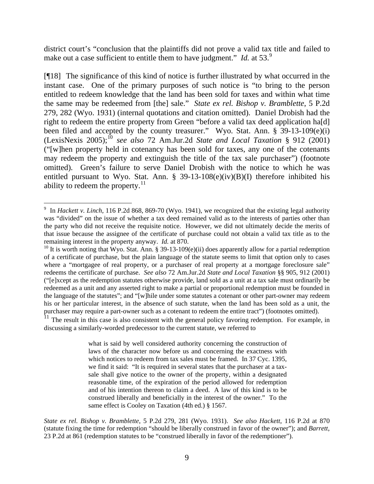district court's "conclusion that the plaintiffs did not prove a valid tax title and failed to make out a case sufficient to entitle them to have judgment." *Id.* at 53.<sup>[9](#page-9-0)</sup>

[¶18] The significance of this kind of notice is further illustrated by what occurred in the instant case. One of the primary purposes of such notice is "to bring to the person entitled to redeem knowledge that the land has been sold for taxes and within what time the same may be redeemed from [the] sale." *State ex rel. Bishop v. Bramblette*, 5 P.2d 279, 282 (Wyo. 1931) (internal quotations and citation omitted). Daniel Drobish had the right to redeem the entire property from Green "before a valid tax deed application ha[d] been filed and accepted by the county treasurer." Wyo. Stat. Ann. § 39-13-109(e)(i) (LexisNexis 2005);[10](#page-9-1) *see also* 72 Am.Jur.2d *State and Local Taxation* § 912 (2001) ("[w]hen property held in cotenancy has been sold for taxes, any one of the cotenants may redeem the property and extinguish the title of the tax sale purchaser") (footnote omitted). Green's failure to serve Daniel Drobish with the notice to which he was entitled pursuant to Wyo. Stat. Ann.  $\S$  39-13-108(e)(iv)(B)(I) therefore inhibited his ability to redeem the property. $^{11}$  $^{11}$  $^{11}$ 

<span id="page-9-2"></span> $11$  The result in this case is also consistent with the general policy favoring redemption. For example, in discussing a similarly-worded predecessor to the current statute, we referred to

> what is said by well considered authority concerning the construction of laws of the character now before us and concerning the exactness with which notices to redeem from tax sales must be framed. In 37 Cyc. 1395, we find it said: "It is required in several states that the purchaser at a taxsale shall give notice to the owner of the property, within a designated reasonable time, of the expiration of the period allowed for redemption and of his intention thereon to claim a deed. A law of this kind is to be construed liberally and beneficially in the interest of the owner." To the same effect is Cooley on Taxation (4th ed.) § 1567.

*State ex rel. Bishop v. Bramblette*, 5 P.2d 279, 281 (Wyo. 1931). *See also Hackett*, 116 P.2d at 870 (statute fixing the time for redemption "should be liberally construed in favor of the owner"); and *Barrett*, 23 P.2d at 861 (redemption statutes to be "construed liberally in favor of the redemptioner").

<span id="page-9-0"></span> $\overline{a}$ <sup>9</sup> In *Hackett v. Linch*, 116 P.2d 868, 869-70 (Wyo. 1941), we recognized that the existing legal authority was "divided" on the issue of whether a tax deed remained valid as to the interests of parties other than the party who did not receive the requisite notice. However, we did not ultimately decide the merits of that issue because the assignee of the certificate of purchase could not obtain a valid tax title as to the remaining interest in the property anyway. *Id.* at 870.

<span id="page-9-1"></span><sup>&</sup>lt;sup>10</sup> It is worth noting that Wyo. Stat. Ann. § 39-13-109(e)(ii) does apparently allow for a partial redemption of a certificate of purchase, but the plain language of the statute seems to limit that option only to cases where a "mortgagee of real property, or a purchaser of real property at a mortgage foreclosure sale" redeems the certificate of purchase. *See also* 72 Am.Jur.2d *State and Local Taxation* §§ 905, 912 (2001) ("[e]xcept as the redemption statutes otherwise provide, land sold as a unit at a tax sale must ordinarily be redeemed as a unit and any asserted right to make a partial or proportional redemption must be founded in the language of the statutes"; and "[w]hile under some statutes a cotenant or other part-owner may redeem his or her particular interest, in the absence of such statute, when the land has been sold as a unit, the purchaser may require a part-owner such as a cotenant to redeem the entire tract") (footnotes omitted).